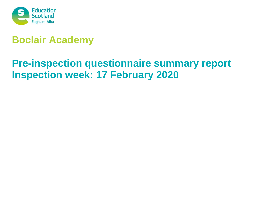

# **Boclair Academy**

# **Pre-inspection questionnaire summary report Inspection week: 17 February 2020**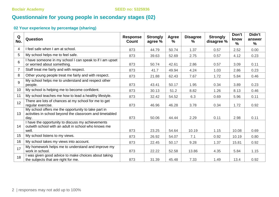# **Questionnaire for young people in secondary stages (02)**

### **02 Your experience by percentage (sharing)**

| Q<br>No.        | Question                                                                                                                | <b>Response</b><br>Count | <b>Strongly</b><br>agree % | <b>Agree</b><br>$\%$ | <b>Disagree</b><br>℅ | <b>Strongly</b><br>disagree % | Don't<br>know<br>% | Didn't<br>answer<br>$\frac{9}{6}$ |
|-----------------|-------------------------------------------------------------------------------------------------------------------------|--------------------------|----------------------------|----------------------|----------------------|-------------------------------|--------------------|-----------------------------------|
| 4               | I feel safe when I am at school.                                                                                        | 873                      | 44.79                      | 50.74                | 1.37                 | 0.57                          | 2.52               | 0.00                              |
| 5               | My school helps me to feel safe.                                                                                        | 873                      | 39.63                      | 52.69                | 2.75                 | 0.57                          | 4.12               | 0.23                              |
| $6\phantom{1}6$ | I have someone in my school I can speak to if I am upset<br>or worried about something.                                 | 873                      | 50.74                      | 42.61                | 2.86                 | 0.57                          | 3.09               | 0.11                              |
| $\overline{7}$  | Staff treat me fairly and with respect.                                                                                 | 873                      | 41.7                       | 49.94                | 4.24                 | 1.03                          | 2.86               | 0.23                              |
| 8               | Other young people treat me fairly and with respect.                                                                    | 873                      | 21.88                      | 62.43                | 7.67                 | 1.72                          | 5.84               | 0.46                              |
| 9               | My school helps me to understand and respect other<br>people.                                                           | 873                      | 43.41                      | 50.17                | 1.95                 | 0.34                          | 3.89               | 0.23                              |
| 10 <sup>°</sup> | My school is helping me to become confident.                                                                            | 873                      | 30.13                      | 51.2                 | 8.82                 | 1.26                          | 8.13               | 0.46                              |
| 11              | My school teaches me how to lead a healthy lifestyle.                                                                   | 873                      | 32.42                      | 54.52                | 6.3                  | 0.69                          | 5.96               | 0.11                              |
| 12 <sup>°</sup> | There are lots of chances at my school for me to get<br>regular exercise.                                               | 873                      | 46.96                      | 46.28                | 3.78                 | 0.34                          | 1.72               | 0.92                              |
| 13              | My school offers me the opportunity to take part in<br>activities in school beyond the classroom and timetabled<br>day. | 873                      | 50.06                      | 44.44                | 2.29                 | 0.11                          | 2.98               | 0.11                              |
| 14              | I have the opportunity to discuss my achievements<br>outwith school with an adult in school who knows me<br>well.       | 873                      | 23.25                      | 54.64                | 10.19                | 1.15                          | 10.08              | 0.69                              |
| 15              | My school listens to my views.                                                                                          | 873                      | 26.92                      | 54.07                | 7.1                  | 0.92                          | 10.19              | 0.80                              |
| 16              | My school takes my views into account.                                                                                  | 873                      | 22.45                      | 50.17                | 9.28                 | 1.37                          | 15.81              | 0.92                              |
| 17              | My homework helps me to understand and improve my<br>work in school.                                                    | 873                      | 22.22                      | 52.58                | 13.86                | 4.35                          | 5.84               | 1.15                              |
| 18              | I was given good advice to make choices about taking<br>the subjects that are right for me.                             | 873                      | 31.39                      | 45.48                | 7.33                 | 1.49                          | 13.4               | 0.92                              |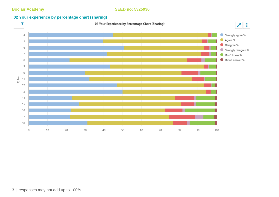### **02 Your experience by percentage chart (sharing)**

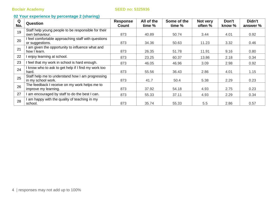**Boclair Academy Boclair Academy SEED no: 5325936** 

### **02 Your experience by percentage 2 (sharing)**

| Q<br>No. | Question                                            | Response<br><b>Count</b> | All of the<br>time % | Some of the<br>time % | Not very<br>often % | Don't<br>know % | Didn't<br>answer % |
|----------|-----------------------------------------------------|--------------------------|----------------------|-----------------------|---------------------|-----------------|--------------------|
| 19       | Staff help young people to be responsible for their |                          |                      |                       |                     |                 |                    |
|          | own behaviour.                                      | 873                      | 40.89                | 50.74                 | 3.44                | 4.01            | 0.92               |
| 20       | I feel comfortable approaching staff with questions |                          |                      |                       |                     |                 |                    |
|          | or suggestions.                                     | 873                      | 34.36                | 50.63                 | 11.23               | 3.32            | 0.46               |
| 21       | I am given the opportunity to influence what and    |                          |                      |                       |                     |                 |                    |
|          | how I learn.                                        | 873                      | 26.35                | 51.78                 | 11.91               | 9.16            | 0.80               |
| 22       | I enjoy learning at school.                         | 873                      | 23.25                | 60.37                 | 13.86               | 2.18            | 0.34               |
| 23       | I feel that my work in school is hard enough.       | 873                      | 46.05                | 46.96                 | 3.09                | 2.98            | 0.92               |
| 24       | I know who to ask to get help if I find my work too |                          |                      |                       |                     |                 |                    |
|          | hard.                                               | 873                      | 55.56                | 36.43                 | 2.86                | 4.01            | 1.15               |
| 25       | Staff help me to understand how I am progressing    |                          |                      |                       |                     |                 |                    |
|          | in my school work.                                  | 873                      | 41.7                 | 50.4                  | 5.38                | 2.29            | 0.23               |
| 26       | The feedback I receive on my work helps me to       |                          |                      |                       |                     |                 |                    |
|          | improve my learning.                                | 873                      | 37.92                | 54.18                 | 4.93                | 2.75            | 0.23               |
| 27       | I am encouraged by staff to do the best I can.      | 873                      | 55.33                | 37.11                 | 4.93                | 2.29            | 0.34               |
| 28       | I am happy with the quality of teaching in my       |                          |                      |                       |                     |                 |                    |
|          | school.                                             | 873                      | 35.74                | 55.33                 | 5.5                 | 2.86            | 0.57               |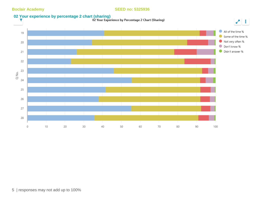#### **Boclair Academy Boclair Academy SEED no: 5325936**

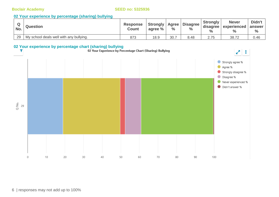#### **02 Your experience by percentage (sharing) bullying**

| No. | <b>Question</b>                         | <b>Response</b><br><b>Count</b> | Strongly<br>agree % | Agree  <br>$\%$ | <b>Disagree</b><br>$\%$ | <b>Strongly</b><br>disagree<br>$\frac{0}{0}$ | <b>Never</b><br><b>Lexperienced</b> | Didn't<br>answer<br>$\frac{6}{6}$ |
|-----|-----------------------------------------|---------------------------------|---------------------|-----------------|-------------------------|----------------------------------------------|-------------------------------------|-----------------------------------|
| 29  | My school deals well with any bullying. | 873                             | 18.9                | 30.             | 8.48                    | 2.75                                         | 38.72                               | 0.46                              |

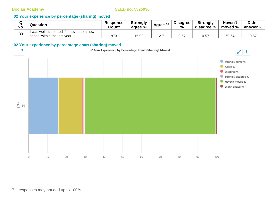### **02 Your experience by percentage (sharing) moved**

| ⌒<br>ч<br>No. | <b>Question</b>                          | <b>Response</b><br>Count | <b>Strongly</b><br>agree % | Agree % | <b>Disagree</b><br>$\frac{0}{0}$ | <b>Strongly</b><br>disagree % | <b>Haven't</b><br>moved % | Didn't<br>answer % |
|---------------|------------------------------------------|--------------------------|----------------------------|---------|----------------------------------|-------------------------------|---------------------------|--------------------|
| 30            | I was well supported if I moved to a new |                          |                            |         |                                  |                               |                           |                    |
|               | school within the last year.             | 873                      | 5.92                       | ィつ フィ   | 0.57                             | 0.57                          | 69.64                     | 0.57               |

#### **02 Your experience by percentage chart (sharing) moved**

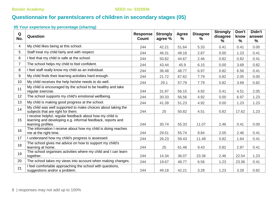# **Questionnaire for parents/carers of children in secondary stages (05)**

### **05 Your experience by percentage (sharing)**

| Q<br>No.       | Question                                                                                                                                       | <b>Response</b><br><b>Count</b> | <b>Strongly</b><br>agree % | <b>Agree</b><br>% | <b>Disagree</b><br>$\%$ | <b>Strongly</b><br>disagree<br>℅ | Don't<br>know<br>$\frac{9}{6}$ | Didn't<br>answer<br>$\frac{0}{0}$ |
|----------------|------------------------------------------------------------------------------------------------------------------------------------------------|---------------------------------|----------------------------|-------------------|-------------------------|----------------------------------|--------------------------------|-----------------------------------|
| 4              | My child likes being at this school.                                                                                                           | 244                             | 42.21                      | 51.64             | 5.33                    | 0.41                             | 0.41                           | 0.00                              |
| 5              | Staff treat my child fairly and with respect.                                                                                                  | 244                             | 46.31                      | 49.18             | 2.87                    | 0.00                             | 1.23                           | 0.41                              |
| 6              | I feel that my child is safe at the school.                                                                                                    | 244                             | 50.82                      | 44.67             | 2.46                    | 0.82                             | 0.82                           | 0.41                              |
| $\overline{7}$ | The school helps my child to feel confident.                                                                                                   | 244                             | 43.44                      | 45.9              | 6.15                    | 0.00                             | 3.69                           | 0.82                              |
| 8              | I feel staff really know my child as an individual.                                                                                            | 244                             | 36.48                      | 48.77             | 6.97                    | 0.82                             | 6.56                           | 0.41                              |
| 9              | My child finds their learning activities hard enough.                                                                                          | 244                             | 21.72                      | 67.62             | 7.79                    | 0.82                             | 2.05                           | 0.00                              |
| 10             | My child receives the help he/she needs to do well.                                                                                            | 244                             | 29.1                       | 57.79             | 7.79                    | 0.82                             | 3.69                           | 0.82                              |
| 11             | My child is encouraged by the school to be healthy and take<br>regular exercise.                                                               | 244                             | 31.97                      | 56.15             | 4.92                    | 0.41                             | 4.51                           | 2.05                              |
| 12             | The school supports my child's emotional wellbeing.                                                                                            | 244                             | 30.33                      | 56.56             | 4.92                    | 0.00                             | 6.97                           | 1.23                              |
| 13             | My child is making good progress at the school.                                                                                                | 244                             | 41.39                      | 51.23             | 4.92                    | 0.00                             | 1.23                           | 1.23                              |
| 14             | My child was well supported to make choices about taking the<br>subjects that are right for them.                                              | 244                             | 25                         | 50.82             | 4.51                    | 0.82                             | 17.62                          | 1.23                              |
| 15             | I receive helpful, regular feedback about how my child is<br>learning and developing e.g. informal feedback, reports and<br>learning profiles. | 244                             | 30.74                      | 55.33             | 11.07                   | 2.46                             | 0.41                           | 0.00                              |
| 16             | The information I receive about how my child is doing reaches<br>me at the right time.                                                         | 244                             | 29.51                      | 55.74             | 9.84                    | 2.05                             | 2.46                           | 0.41                              |
| 17             | I understand how my child's progress is assessed.                                                                                              | 244                             | 26.23                      | 59.43             | 11.48                   | 0.82                             | 1.64                           | 0.41                              |
| 18             | The school gives me advice on how to support my child's<br>learning at home.                                                                   | 244                             | 25                         | 61.48             | 9.43                    | 0.82                             | 2.87                           | 0.41                              |
| 19             | The school organises activities where my child and I can learn<br>together.                                                                    | 244                             | 14.34                      | 36.07             | 23.36                   | 2.46                             | 22.54                          | 1.23                              |
| 20             | The school takes my views into account when making changes.                                                                                    | 244                             | 19.67                      | 48.77             | 6.56                    | 1.23                             | 23.36                          | 0.41                              |
| 21             | I feel comfortable approaching the school with questions,<br>suggestions and/or a problem.                                                     | 244                             | 49.18                      | 42.21             | 3.28                    | 1.23                             | 3.28                           | 0.82                              |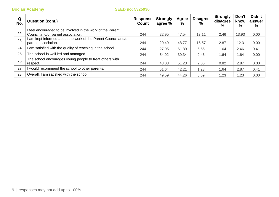| Q<br>No. | <b>Question (cont.)</b>                                      | <b>Response</b><br>Count | <b>Strongly</b><br>agree % | Agree<br>% | <b>Disagree</b><br>% | <b>Strongly</b><br>disagree<br>% | Don't<br>know<br>% | Didn't<br>answer<br>% |
|----------|--------------------------------------------------------------|--------------------------|----------------------------|------------|----------------------|----------------------------------|--------------------|-----------------------|
| 22       | feel encouraged to be involved in the work of the Parent     |                          |                            |            |                      |                                  |                    |                       |
|          | Council and/or parent association.                           | 244                      | 22.95                      | 47.54      | 13.11                | 2.46                             | 13.93              | 0.00                  |
| 23       | am kept informed about the work of the Parent Council and/or |                          |                            |            |                      |                                  |                    |                       |
|          | parent association.                                          | 244                      | 20.49                      | 48.77      | 15.57                | 2.87                             | 12.3               | 0.00                  |
| 24       | am satisfied with the quality of teaching in the school.     | 244                      | 27.05                      | 61.89      | 6.56                 | 1.64                             | 2.46               | 0.41                  |
| 25       | The school is well led and managed.                          | 244                      | 54.92                      | 39.34      | 2.46                 | 1.64                             | .64                | 0.00                  |
| 26       | The school encourages young people to treat others with      |                          |                            |            |                      |                                  |                    |                       |
|          | respect.                                                     | 244                      | 43.03                      | 51.23      | 2.05                 | 0.82                             | 2.87               | 0.00                  |
| 27       | would recommend the school to other parents.                 | 244                      | 51.64                      | 42.21      | 1.23                 | 1.64                             | 2.87               | 0.41                  |
| 28       | Overall, I am satisfied with the school.                     | 244                      | 49.59                      | 44.26      | 3.69                 | 1.23                             | .23                | 0.00                  |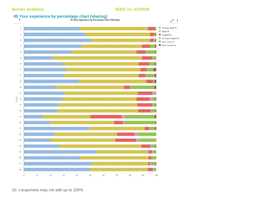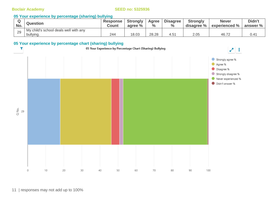### **05 Your experience by percentage (sharing) bullying**

| No. | <b>Question</b>                                    | Response<br>Count | Strongly<br>agree % | Agree<br>$\frac{0}{0}$ | <b>Disagree</b><br>$\frac{0}{0}$ | <b>Strongly</b><br>disagree % | <b>Never</b><br>experienced % | Didn't<br>answer % |
|-----|----------------------------------------------------|-------------------|---------------------|------------------------|----------------------------------|-------------------------------|-------------------------------|--------------------|
| 29  | My child's school deals well with any<br>bullying. | 244               | 18.03               | 28.28                  | 4.51                             | 2.05                          | 46.72                         | J.41               |

### **05 Your experience by percentage chart (sharing) bullying**

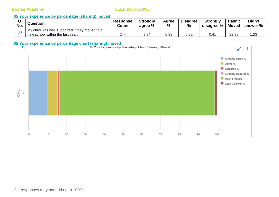#### **05 Your experience by percentage (sharing) moved**

| w<br>No. | Question                                       | <b>Response</b><br>Count | <b>Strongly</b><br>agree % | Agree<br>% | <b>Disagree</b><br>% | <b>Strongly</b><br>disagree % | Hasn't<br><b>Moved</b> | Didn't<br>answer % |
|----------|------------------------------------------------|--------------------------|----------------------------|------------|----------------------|-------------------------------|------------------------|--------------------|
| 30       | My child was well supported if they moved to a |                          |                            |            |                      |                               |                        |                    |
|          | new school within the last year.               | 244                      | 9.84                       | 5.33       | 0.82                 |                               | 82.38                  | .23                |

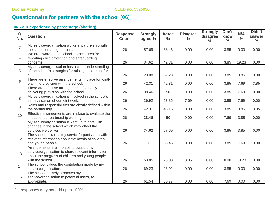# **Questionnaire for partners with the school (06)**

### **06 Your experience by percentage (sharing)**

| $\mathbf Q$<br>No. | Question                                                                                                                                                             | <b>Response</b><br><b>Count</b> | <b>Strongly</b><br>agree % | <b>Agree</b><br>$\frac{6}{6}$ | <b>Disagree</b><br>$\frac{9}{6}$ | <b>Strongly</b><br>disagree<br>$\frac{0}{0}$ | Don't<br>know<br>$\frac{0}{0}$ | N/A<br>$\frac{0}{0}$ | Didn't<br>answer<br>$\frac{0}{0}$ |
|--------------------|----------------------------------------------------------------------------------------------------------------------------------------------------------------------|---------------------------------|----------------------------|-------------------------------|----------------------------------|----------------------------------------------|--------------------------------|----------------------|-----------------------------------|
| 3                  | My service/organisation works in partnership with<br>the school on a regular basis.                                                                                  | 26                              | 57.69                      | 38.46                         | 0.00                             | 0.00                                         | 3.85                           | 0.00                 | 0.00                              |
| $\overline{4}$     | We are aware of the school's procedures for<br>reporting child protection and safeguarding<br>concerns.                                                              | 26                              | 34.62                      | 42.31                         | 0.00                             | 0.00                                         | 3.85                           | 19.23                | 0.00                              |
| 5                  | My service/organisation has a clear understanding<br>of the school's strategies for raising attainment for<br>all.                                                   | 26                              | 23.08                      | 69.23                         | 0.00                             | 0.00                                         | 3.85                           | 3.85                 | 0.00                              |
| 6                  | There are effective arrangements in place for jointly<br>planning provision with the school.                                                                         | 26                              | 42.31                      | 42.31                         | 0.00                             | 0.00                                         | 3.85                           | 7.69                 | 3.85                              |
| $\overline{7}$     | There are effective arrangements for jointly<br>delivering provision with the school.                                                                                | 26                              | 38.46                      | 50                            | 0.00                             | 0.00                                         | 3.85                           | 7.69                 | 0.00                              |
| 8                  | My service/organisation is involved in the school's<br>self-evaluation of our joint work.                                                                            | 26                              | 26.92                      | 53.85                         | 7.69                             | 0.00                                         | 3.85                           | 7.69                 | 0.00                              |
| $\mathsf g$        | Roles and responsibilities are clearly defined within<br>the partnership.                                                                                            | 26                              | 42.31                      | 46.15                         | 0.00                             | 0.00                                         | 3.85                           | 3.85                 | 3.85                              |
| 10                 | Effective arrangements are in place to evaluate the<br>impact of our partnership working.                                                                            | 26                              | 38.46                      | 50                            | 0.00                             | 0.00                                         | 7.69                           | 3.85                 | 0.00                              |
| 11                 | My service/organisation is kept up to date with<br>changes in the school which may affect the<br>services we deliver.                                                | 26                              | 34.62                      | 57.69                         | 0.00                             | 0.00                                         | 3.85                           | 3.85                 | 0.00                              |
| 12                 | The school provides my service/organisation with<br>relevant information about the needs of children<br>and young people.                                            | 26                              | 50                         | 38.46                         | 0.00                             | 0.00                                         | 3.85                           | 7.69                 | 0.00                              |
| 13                 | Arrangements are in place to support my<br>service/organisation to share relevant information<br>about the progress of children and young people<br>with the school. | 26                              | 53.85                      | 23.08                         | 3.85                             | 0.00                                         | 0.00                           | 19.23                | 0.00                              |
| 14                 | The school values the contribution made by my<br>service/organisation.                                                                                               | 26                              | 69.23                      | 26.92                         | 0.00                             | 0.00                                         | 3.85                           | 0.00                 | 0.00                              |
| 15                 | The school actively promotes my<br>service/organisation to potential users, as<br>appropriate.                                                                       | 26                              | 61.54                      | 30.77                         | 0.00                             | 0.00                                         | 7.69                           | 0.00                 | 0.00                              |

13 | responses may not add up to 100%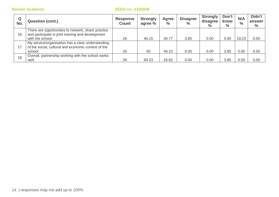| Q<br>No. | <b>Question (cont.)</b>                                                                                                     | <b>Response</b><br><b>Count</b> | <b>Strongly</b><br>agree % | Agree<br>$\frac{0}{0}$ | <b>Disagree</b><br>$\frac{0}{0}$ | <b>Strongly</b><br>disagree<br>$\%$ | Don't<br>know<br>$\%$ | N/A<br>$\frac{0}{0}$ | Didn't<br>answer<br>$\frac{0}{0}$ |
|----------|-----------------------------------------------------------------------------------------------------------------------------|---------------------------------|----------------------------|------------------------|----------------------------------|-------------------------------------|-----------------------|----------------------|-----------------------------------|
| 16       | There are opportunities to network, share practice<br>and participate in joint training and development<br>with the school. | 26                              | 46.15                      | 30.77                  | 3.85                             | 0.00                                | 0.00                  | 19.23                | 0.00                              |
| 17       | My service/organisation has a clear understanding<br>of the social, cultural and economic context of the<br>school.         | 26                              | 50                         | 46.15                  | 0.00                             | 0.00                                | 3.85                  | 0.00                 | 0.00                              |
| 18       | Overall, partnership working with the school works<br>well.                                                                 | 26                              | 69.23                      | 26.92                  | 0.00                             | 0.00                                | 3.85                  | 0.00                 | 0.00                              |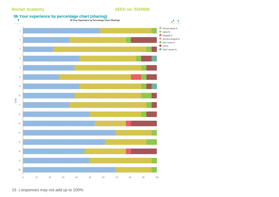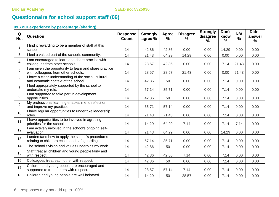# **Questionnaire for school support staff (09)**

### **09 Your experience by percentage (sharing)**

| Q<br>No.       | Question                                                                                            | <b>Response</b><br><b>Count</b> | <b>Strongly</b><br>agree % | Agree<br>% | <b>Disagree</b><br>$\%$ | <b>Strongly</b><br>disagree<br>$\frac{1}{2}$ | Don't<br>know<br>$\%$ | N/A<br>$\%$ | Didn't<br>answer<br>$\frac{9}{6}$ |
|----------------|-----------------------------------------------------------------------------------------------------|---------------------------------|----------------------------|------------|-------------------------|----------------------------------------------|-----------------------|-------------|-----------------------------------|
| $\overline{2}$ | I find it rewarding to be a member of staff at this<br>school.                                      | 14                              | 42.86                      | 42.86      | 0.00                    | 0.00                                         | 14.29                 | 0.00        | 0.00                              |
| $\mathbf{3}$   | I feel a valued part of the school's community.                                                     | 14                              | 21.43                      | 64.29      | 14.29                   | 0.00                                         | 0.00                  | 0.00        | 0.00                              |
| $\overline{4}$ | I am encouraged to learn and share practice with<br>colleagues from other schools.                  | 14                              | 28.57                      | 42.86      | 0.00                    | 0.00                                         | 7.14                  | 21.43       | 0.00                              |
| 5              | I am given the opportunity to learn and share practice<br>with colleagues from other schools.       | 14                              | 28.57                      | 28.57      | 21.43                   | 0.00                                         | 0.00                  | 21.43       | 0.00                              |
| 6              | I have a clear understanding of the social, cultural<br>and economic context of the school.         | 14                              | 42.86                      | 50         | 0.00                    | 0.00                                         | 7.14                  | 0.00        | 0.00                              |
| $\overline{7}$ | I feel appropriately supported by the school to<br>undertake my role.                               | 14                              | 57.14                      | 35.71      | 0.00                    | 0.00                                         | 7.14                  | 0.00        | 0.00                              |
| 8              | I am supported to take part in development<br>opportunities.                                        | 14                              | 42.86                      | 50         | 0.00                    | 0.00                                         | 7.14                  | 0.00        | 0.00                              |
| 9              | My professional learning enables me to reflect on<br>and improve my practice.                       | 14                              | 35.71                      | 57.14      | 0.00                    | 0.00                                         | 7.14                  | 0.00        | 0.00                              |
| 10             | I have regular opportunities to undertake leadership<br>roles.                                      | 14                              | 21.43                      | 71.43      | 0.00                    | 0.00                                         | 7.14                  | 0.00        | 0.00                              |
| 11             | I have opportunities to be involved in agreeing<br>priorities for the school.                       | 14                              | 14.29                      | 64.29      | 7.14                    | 0.00                                         | 7.14                  | 7.14        | 0.00                              |
| 12             | I am actively involved in the school's ongoing self-<br>evaluation.                                 | 14                              | 21.43                      | 64.29      | 0.00                    | 0.00                                         | 14.29                 | 0.00        | 0.00                              |
| 13             | I understand how to apply the school's procedures<br>relating to child protection and safeguarding. | 14                              | 57.14                      | 35.71      | 0.00                    | 0.00                                         | 7.14                  | 0.00        | 0.00                              |
| 14             | The school's vision and values underpins my work.                                                   | 14                              | 42.86                      | 50         | 0.00                    | 0.00                                         | 7.14                  | 0.00        | 0.00                              |
| 15             | Staff treat all children and young people fairly and<br>with respect.                               | 14                              | 42.86                      | 42.86      | 7.14                    | 0.00                                         | 7.14                  | 0.00        | 0.00                              |
| 16             | Colleagues treat each other with respect.                                                           | 14                              | 42.86                      | 50         | 0.00                    | 0.00                                         | 7.14                  | 0.00        | 0.00                              |
| 17             | Children and young people are encouraged and<br>supported to treat others with respect.             | 14                              | 28.57                      | 57.14      | 7.14                    | 0.00                                         | 7.14                  | 0.00        | 0.00                              |
| 18             | Children and young people are well behaved.                                                         | 14                              | 14.29                      | 50         | 28.57                   | 0.00                                         | 7.14                  | 0.00        | 0.00                              |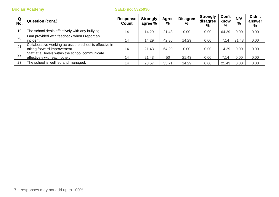| Q<br>No. | <b>Question (cont.)</b>                                                                | <b>Response</b><br>Count | <b>Strongly</b><br>agree % | Agree<br>$\%$ | <b>Disagree</b><br>$\frac{0}{0}$ | <b>Strongly</b><br>disagree<br>% | Don't<br>know<br>% | N/A<br>$\%$ | Didn't<br>answer<br>% |
|----------|----------------------------------------------------------------------------------------|--------------------------|----------------------------|---------------|----------------------------------|----------------------------------|--------------------|-------------|-----------------------|
| 19       | The school deals effectively with any bullying.                                        | 14                       | 14.29                      | 21.43         | 0.00                             | 0.00                             | 64.29              | 0.00        | 0.00                  |
| 20       | am provided with feedback when I report an<br>incident.                                | 14                       | 14.29                      | 42.86         | 14.29                            | 0.00                             | 7.14               | 21.43       | 0.00                  |
| 21       | Collaborative working across the school is effective in<br>taking forward improvement. | 14                       | 21.43                      | 64.29         | 0.00                             | 0.00                             | 14.29              | 0.00        | 0.00                  |
| 22       | Staff at all levels within the school communicate<br>effectively with each other.      | 14                       | 21.43                      | 50            | 21.43                            | 0.00                             | 7.14               | 0.00        | 0.00                  |
| 23       | The school is well led and managed.                                                    | 14                       | 28.57                      | 35.71         | 14.29                            | 0.00                             | 21.43              | 0.00        | 0.00                  |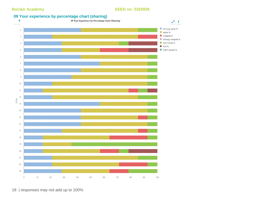# **09 Your experience by percentage chart (sharing)**<br>19 Your Experience by Percentage Chart (Sharing)



18 | responses may not add up to 100%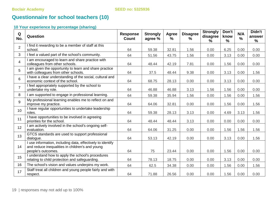# **Questionnaire for school teachers (10)**

### **10 Your experience by percentage (sharing)**

| Q<br>No.       | Question                                                                                                                            | <b>Response</b><br><b>Count</b> | <b>Strongly</b><br>agree % | Agree<br>$\frac{9}{6}$ | <b>Disagree</b><br>% | <b>Strongly</b><br>disagree<br>$\frac{9}{6}$ | Don't<br>know<br>% | N/A<br>$\%$ | Didn't<br>answer<br>$\frac{1}{2}$ |
|----------------|-------------------------------------------------------------------------------------------------------------------------------------|---------------------------------|----------------------------|------------------------|----------------------|----------------------------------------------|--------------------|-------------|-----------------------------------|
| $\overline{2}$ | I find it rewarding to be a member of staff at this<br>school.                                                                      | 64                              | 59.38                      | 32.81                  | 1.56                 | 0.00                                         | 6.25               | 0.00        | 0.00                              |
| 3              | I feel a valued part of the school's community.                                                                                     | 64                              | 51.56                      | 43.75                  | 1.56                 | 0.00                                         | 3.13               | 0.00        | 0.00                              |
| $\overline{4}$ | I am encouraged to learn and share practice with<br>colleagues from other schools.                                                  | 64                              | 48.44                      | 42.19                  | 7.81                 | 0.00                                         | 1.56               | 0.00        | 0.00                              |
| 5              | I am given the opportunity to learn and share practice<br>with colleagues from other schools.                                       | 64                              | 37.5                       | 48.44                  | 9.38                 | 0.00                                         | 3.13               | 0.00        | 1.56                              |
| $6\phantom{1}$ | I have a clear understanding of the social, cultural and<br>economic context of the school.                                         | 64                              | 68.75                      | 28.13                  | 0.00                 | 0.00                                         | 3.13               | 0.00        | 0.00                              |
| $\overline{7}$ | I feel appropriately supported by the school to<br>undertake my role.                                                               | 64                              | 46.88                      | 46.88                  | 3.13                 | 1.56                                         | 1.56               | 0.00        | 0.00                              |
| 8              | I am supported to engage in professional learning.                                                                                  | 64                              | 59.38                      | 35.94                  | 1.56                 | 0.00                                         | 1.56               | 0.00        | 1.56                              |
| 9              | My professional learning enables me to reflect on and<br>improve my practice.                                                       | 64                              | 64.06                      | 32.81                  | 0.00                 | 0.00                                         | 1.56               | 0.00        | 1.56                              |
| 10             | I have regular opportunities to undertake leadership<br>roles.                                                                      | 64                              | 59.38                      | 28.13                  | 3.13                 | 0.00                                         | 4.69               | 3.13        | 1.56                              |
| 11             | I have opportunities to be involved in agreeing<br>priorities for the school.                                                       | 64                              | 48.44                      | 48.44                  | 3.13                 | 0.00                                         | 0.00               | 0.00        | 0.00                              |
| 12             | I am actively involved in the school's ongoing self-<br>evaluation.                                                                 | 64                              | 64.06                      | 31.25                  | 0.00                 | 0.00                                         | 1.56               | 1.56        | 1.56                              |
| 13             | GTCS standards are used to support professional<br>dialogue.                                                                        | 64                              | 53.13                      | 42.19                  | 0.00                 | 0.00                                         | 3.13               | 0.00        | 1.56                              |
| 14             | I use information, including data, effectively to identify<br>and reduce inequalities in children's and young<br>people's outcomes. | 64                              | 75                         | 23.44                  | 0.00                 | 0.00                                         | 1.56               | 0.00        | 0.00                              |
| 15             | I understand how to apply the school's procedures<br>relating to child protection and safeguarding.                                 | 64                              | 78.13                      | 18.75                  | 0.00                 | 0.00                                         | 3.13               | 0.00        | 0.00                              |
| 16             | The school's vision and values underpins my work.                                                                                   | 64                              | 62.5                       | 34.38                  | 0.00                 | 0.00                                         | 1.56               | 0.00        | 1.56                              |
| 17             | Staff treat all children and young people fairly and with<br>respect.                                                               | 64                              | 71.88                      | 26.56                  | 0.00                 | 0.00                                         | 1.56               | 0.00        | 0.00                              |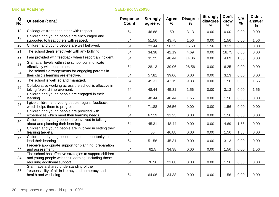| Q<br>No. | <b>Question (cont.)</b>                                                                                                                           | <b>Response</b><br><b>Count</b> | <b>Strongly</b><br>agree % | Agree<br>$\%$ | <b>Disagree</b><br>$\%$ | <b>Strongly</b><br>disagree<br>% | Don't<br>know<br>% | N/A<br>$\frac{0}{0}$ | Didn't<br>answer<br>$\%$ |
|----------|---------------------------------------------------------------------------------------------------------------------------------------------------|---------------------------------|----------------------------|---------------|-------------------------|----------------------------------|--------------------|----------------------|--------------------------|
| 18       | Colleagues treat each other with respect.                                                                                                         | 64                              | 46.88                      | 50            | 3.13                    | 0.00                             | 0.00               | 0.00                 | 0.00                     |
| 19       | Children and young people are encouraged and<br>supported to treat others with respect.                                                           | 64                              | 51.56                      | 43.75         | 1.56                    | 0.00                             | 1.56               | 0.00                 | 1.56                     |
| 20       | Children and young people are well behaved.                                                                                                       | 64                              | 23.44                      | 56.25         | 15.63                   | 1.56                             | 3.13               | 0.00                 | 0.00                     |
| 21       | The school deals effectively with any bullying.                                                                                                   | 64                              | 34.38                      | 42.19         | 4.69                    | 0.00                             | 18.75              | 0.00                 | 0.00                     |
| 22       | I am provided with feedback when I report an incident.                                                                                            | 64                              | 31.25                      | 48.44         | 14.06                   | 0.00                             | 4.69               | 1.56                 | 0.00                     |
| 23       | Staff at all levels within the school communicate<br>effectively with each other.                                                                 | 64                              | 28.13                      | 39.06         | 26.56                   | 0.00                             | 6.25               | 0.00                 | 0.00                     |
| 24       | The school's arrangements for engaging parents in<br>their child's learning are effective.                                                        | 64                              | 57.81                      | 39.06         | 0.00                    | 0.00                             | 3.13               | 0.00                 | 0.00                     |
| 25       | The school is well led and managed.                                                                                                               | 64                              | 45.31                      | 42.19         | 9.38                    | 0.00                             | 1.56               | 0.00                 | 1.56                     |
| 26       | Collaborative working across the school is effective in<br>taking forward improvement.                                                            | 64                              | 48.44                      | 45.31         | 1.56                    | 0.00                             | 3.13               | 0.00                 | 1.56                     |
| 27       | Children and young people are engaged in their<br>learning.                                                                                       | 64                              | 48.44                      | 48.44         | 1.56                    | 0.00                             | 1.56               | 0.00                 | 0.00                     |
| 28       | I give children and young people regular feedback<br>which helps them to progress.                                                                | 64                              | 71.88                      | 26.56         | 0.00                    | 0.00                             | 1.56               | 0.00                 | 0.00                     |
| 29       | Children and young people are provided with<br>experiences which meet their learning needs.                                                       | 64                              | 67.19                      | 31.25         | 0.00                    | 0.00                             | 1.56               | 0.00                 | 0.00                     |
| 30       | Children and young people are involved in talking<br>about and planning their learning.                                                           | 64                              | 45.31                      | 48.44         | 0.00                    | 0.00                             | 4.69               | 1.56                 | 0.00                     |
| 31       | Children and young people are involved in setting their<br>learning targets.                                                                      | 64                              | 50                         | 46.88         | 0.00                    | 0.00                             | 1.56               | 1.56                 | 0.00                     |
| 32       | Children and young people have the opportunity to<br>lead their learning.                                                                         | 64                              | 51.56                      | 45.31         | 0.00                    | 0.00                             | 3.13               | 0.00                 | 0.00                     |
| 33       | I receive appropriate support for planning, preparation<br>and assessment.                                                                        | 64                              | 62.5                       | 34.38         | 0.00                    | 0.00                             | 1.56               | 0.00                 | 1.56                     |
| 34       | The school has effective strategies to support children<br>and young people with their learning, including those<br>requiring additional support. | 64                              | 76.56                      | 21.88         | 0.00                    | 0.00                             | 1.56               | 0.00                 | 0.00                     |
| 35       | Staff have a shared understanding of their<br>'responsibility of all' in literacy and numeracy and<br>health and wellbeing.                       | 64                              | 64.06                      | 34.38         | 0.00                    | 0.00                             | 1.56               | 0.00                 | 0.00                     |
|          |                                                                                                                                                   |                                 |                            |               |                         |                                  |                    |                      |                          |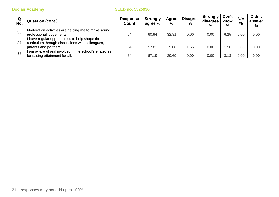| Q<br>No. | <b>Question (cont.)</b>                             | <b>Response</b><br>Count | <b>Strongly</b><br>agree % | Agree<br>% | <b>Disagree</b><br>$\frac{0}{0}$ | <b>Strongly</b><br>disagree<br>$\%$ | Don't<br>know<br>$\%$ | N/A<br>$\frac{0}{0}$ | Didn't<br>answer<br>% |
|----------|-----------------------------------------------------|--------------------------|----------------------------|------------|----------------------------------|-------------------------------------|-----------------------|----------------------|-----------------------|
| 36       | Moderation activities are helping me to make sound  |                          |                            |            |                                  |                                     |                       |                      |                       |
|          | professional judgements.                            | 64                       | 60.94                      | 32.81      | 0.00                             | 0.00                                | 6.25                  | 0.00                 | 0.00                  |
| 37       | I have regular opportunities to help shape the      |                          |                            |            |                                  |                                     |                       |                      |                       |
|          | curriculum through discussions with colleagues.     |                          |                            |            |                                  |                                     |                       |                      |                       |
|          | parents and partners.                               | 64                       | 57.81                      | 39.06      | .56                              | 0.00                                | .56                   | 0.00                 | 0.00                  |
| 38       | am aware of and involved in the school's strategies |                          |                            |            |                                  |                                     |                       |                      |                       |
|          | for raising attainment for all.                     | 64                       | 67.19                      | 29.69      | 0.00                             | 0.00                                | 3.13                  | 0.00                 | 0.00                  |